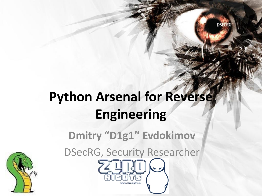

**DSECRG** 

**Dmitry "D1g1″ Evdokimov**

DSecRG, Security Researcher

www.zeronights.ru

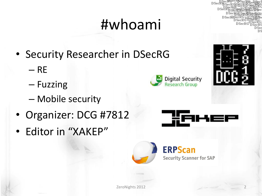# #whoami

- Security Researcher in DSecRG
	- $-$  RE
	- Fuzzing
	- Mobile security
- Organizer: DCG #7812
- Editor in "XAKEP"







**D**Sec



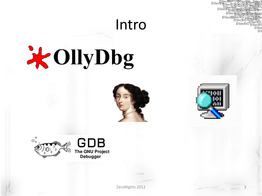### Intro







 $D<sub>sec</sub>$  $\mathbf{D}\mathbf{S}$ ei

DSecRISecRG<sub>D</sub>

DSecRG

**DSec**  $\overline{\text{DS}}$ 



zeroNights 2012 3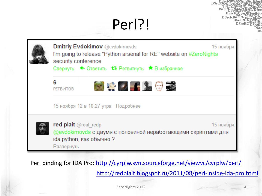### Perl?!



Perl binding for IDA Pro: <http://cyrplw.svn.sourceforge.net/viewvc/cyrplw/perl/>

<http://redplait.blogspot.ru/2011/08/perl-inside-ida-pro.html>

DSecF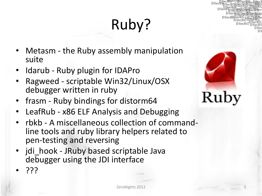# Ruby?

- Metasm the Ruby assembly manipulation suite
- Idarub Ruby plugin for IDAPro
- Ragweed scriptable Win32/Linux/OSX debugger written in ruby
- frasm Ruby bindings for distorm64
- LeafRub x86 ELF Analysis and Debugging
- rbkb A miscellaneous collection of commandline tools and ruby library helpers related to pen-testing and reversing
- jdi hook JRuby based scriptable Java debugger using the JDI interface
- ???

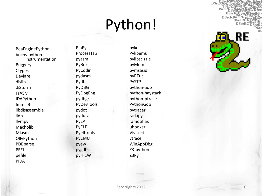# Python!

BeaEnginePython bochs -python instrumentation Buggery **Ctypes** Deviare dislib diStorm FrASM IDAPython ImmLIB libdisassemble lldb llvmpy Macholib Miasm **OllyPython** PDBparse PEEL pefile PIDA

PinPy ProcessTap pyasm PyBox PyCodin pydasm Pydb PyDBG PyDbgEng pydbgr PyDevTools pydot pydusa PyEA PyELF Pyelftools PyEMU pyew pygdb pyHIEW

pykd Pylibemu pylibscizzle pyMem pymsasid pyREtic PySTP python -adb python -haystack python -ptrace PythonGdb pytracer radapy ramooflax uhooker Vivisect vtrace WinAppDbg Z3 -python Z3Py

**DSeck** DS  $D<sub>Sec</sub>$  $_{\mathrm{DSec}}$ RE

**DS** 

…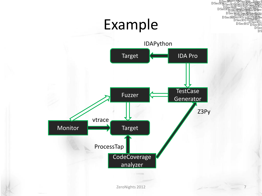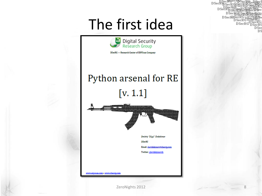### The first idea



DSecRG - Research Center of ERPScan Company

#### Python arsenal for RE

 $[v. 1.1]$ 



ww.erpscan.com • www.dsecrg.com

zeroNights 2012 8

 $D<sub>sec</sub>$  $_{\text{DSe}}$ 

> DSecRISecRGT  $_{\rm DescRG}$ **DSecRG**

> > **DSec** DS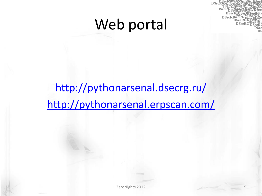### Web portal



### <http://pythonarsenal.dsecrg.ru/> <http://pythonarsenal.erpscan.com/>

ZeroNights 2012 9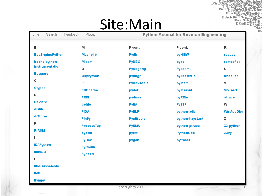# Site: Main

Home. Search Feedback **About** в м P cont. P cont.  $\mathsf{R}$ **BeaEnginePython Macholib pyHIEW** radapy Pydb bochs-python-**PyDBG Miasm** pykd ramooflax instrumentation U  $\circ$ PyDbgEng Pylibemu **Buggery** OllyPython pydbgr pylibscizzle uhooker C P **PyDevTools** v pyMem **Ctypes PDBparse Vivisect** pydot pymsasid D **PEEL** pydusa pyREtic vtrace **Deviare PySTP** pefile **PyEA** w dislib **PIDA PyELF** python-adb WinAppDbg diStorm PinPy z **Pyelftools** python-haystack F ProcessTap python-ptrace Z3-python **PVEMU FrASM** Z3Py PythonGdb pyasm pyew **PyBox** pygdb pytracer **IDAPython PyCodin ImmLIB** pydasm libdisassemble **Ildb** 

DSecRpSecRGRS DSet

DSecRESecRGDP

DSecro DSecRG<br>DSecRG DSecRO<br>DSec

**DS**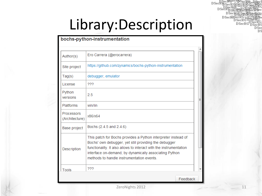$DSeck_{\mathbf{DS}0}^{\operatorname{Sec}}$ DSe DSecRISecRG<sub>I</sub> **DSecRG**  $_{\mathrm{DSec}}$ DS

## Library:Description

#### bochs-python-instrumentation

| Author(s)                    | Ero Carrera (@erocarrera)                                                                                                                                                                                                                                                                          |          |  |  |
|------------------------------|----------------------------------------------------------------------------------------------------------------------------------------------------------------------------------------------------------------------------------------------------------------------------------------------------|----------|--|--|
| Site project                 | https://github.com/zynamics/bochs-python-instrumentation                                                                                                                                                                                                                                           |          |  |  |
| Tag(s)                       | debugger, emulator                                                                                                                                                                                                                                                                                 |          |  |  |
| License                      | ???                                                                                                                                                                                                                                                                                                |          |  |  |
| Python<br>versions           | 2.5                                                                                                                                                                                                                                                                                                |          |  |  |
| <b>Platforms</b>             | win/lin                                                                                                                                                                                                                                                                                            |          |  |  |
| Processors<br>(Architecture) | x86/x64                                                                                                                                                                                                                                                                                            |          |  |  |
| Base project                 | Bochs (2.4.5 and 2.4.6)                                                                                                                                                                                                                                                                            |          |  |  |
| Description                  | This patch for Bochs provides a Python interpreter instead of<br>Bochs' own debugger, yet still providing the debugger<br>functionality. It also allows to interact with the instrumentation<br>interface on-demand, by dynamically associating Python<br>methods to handle instrumentation events |          |  |  |
| Tools                        | 222                                                                                                                                                                                                                                                                                                |          |  |  |
|                              |                                                                                                                                                                                                                                                                                                    | Feedback |  |  |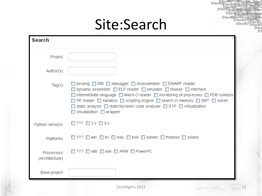### Site:Search

|                              | Site:Search                                                                                                                                                                                                                                                                                                                                                                                                                                                            |    |
|------------------------------|------------------------------------------------------------------------------------------------------------------------------------------------------------------------------------------------------------------------------------------------------------------------------------------------------------------------------------------------------------------------------------------------------------------------------------------------------------------------|----|
| Search                       |                                                                                                                                                                                                                                                                                                                                                                                                                                                                        |    |
| Project                      |                                                                                                                                                                                                                                                                                                                                                                                                                                                                        |    |
| Author(s)                    |                                                                                                                                                                                                                                                                                                                                                                                                                                                                        |    |
| Tag(s)                       | □ binding □ DBI □ debugger □ disassembler □ DWARF reader<br>$\Box$ dynamic assembler $\Box$ ELF reader $\Box$ emulator $\Box$ hooker $\Box$ interface<br>□ intermediate language □ Mach-O reader □ monitoring of processes □ PDB symbols<br>$\Box$ PE reader $\Box$ sandbox $\Box$ scripting engine $\Box$ search in memory $\Box$ SMT $\Box$ solver<br>□ static analysis □ static/dynamic code analyser □ STP □ virtualization<br>$\Box$ visualization $\Box$ wrapper |    |
| Python versions              | □ ??? □ 2 $\times$ □ 3 $\times$                                                                                                                                                                                                                                                                                                                                                                                                                                        |    |
| Platforms                    | $\Box$ ??? $\Box$ win $\Box$ lin $\Box$ mac $\Box$ bsd $\Box$ darwin $\Box$ freebsd $\Box$ solaris                                                                                                                                                                                                                                                                                                                                                                     |    |
| Processors<br>(Architecture) | $\Box$ ??? $\Box$ x86 $\Box$ x64 $\Box$ ARM $\Box$ PowerPC                                                                                                                                                                                                                                                                                                                                                                                                             |    |
| Base project                 |                                                                                                                                                                                                                                                                                                                                                                                                                                                                        |    |
|                              | ZeroNights 2012                                                                                                                                                                                                                                                                                                                                                                                                                                                        | 12 |

DSecRoecky<br>DSecRoSsecRoss<br>DSecRoSsecRoss<br>DSecRossecRoss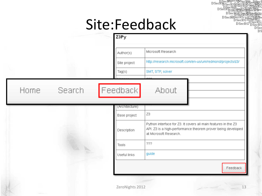### Site:Feedback

DSecRpSecRGE D<sub>Sec</sub>

|  | Z3Py           |                                                                                                                                                          |
|--|----------------|----------------------------------------------------------------------------------------------------------------------------------------------------------|
|  | Author(s)      | Microsoft Research                                                                                                                                       |
|  | Site project   | http://research.microsoft.com/en-us/um/redmond/projects/z3/                                                                                              |
|  | Tag(s)         | SMT, STP, solver                                                                                                                                         |
|  | (Architecture) |                                                                                                                                                          |
|  | Base project   | Z3                                                                                                                                                       |
|  | Description    | Python interface for Z3. It covers all main features in the Z3<br>API. Z3 is a high-performance theorem prover being developed<br>at Microsoft Research. |
|  | <b>Tools</b>   | 222                                                                                                                                                      |
|  | Useful links   | guide                                                                                                                                                    |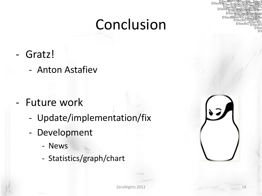### Conclusion

 $DS<sub>et</sub>$ 

- Gratz!
	- Anton Astafiev

- Future work
	- Update/implementation/fix
	- Development
		- News
		- Statistics/graph/chart